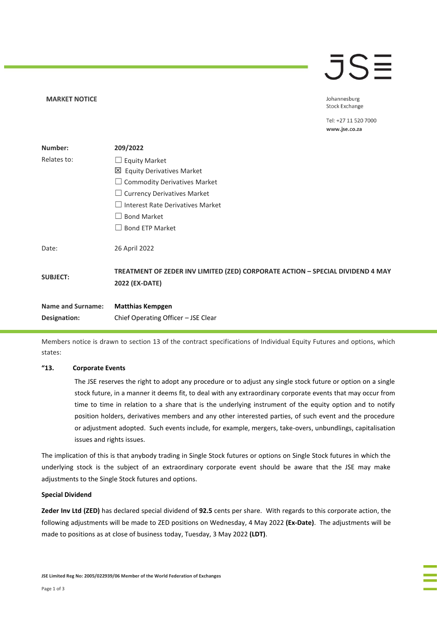# $\overline{\overline{\overline{J}}\overline{\overline{\overline{S}}}$

Johannesburg **Stock Exchange** 

Tel: +27 11 520 7000 www.jse.co.za

| Number:                  | 209/2022                                                                                         |
|--------------------------|--------------------------------------------------------------------------------------------------|
| Relates to:              | $\Box$ Equity Market                                                                             |
|                          | 凶 Equity Derivatives Market                                                                      |
|                          | $\Box$ Commodity Derivatives Market                                                              |
|                          | $\Box$ Currency Derivatives Market                                                               |
|                          | Interest Rate Derivatives Market                                                                 |
|                          | <b>Bond Market</b>                                                                               |
|                          | <b>Bond ETP Market</b>                                                                           |
| Date:                    | 26 April 2022                                                                                    |
| <b>SUBJECT:</b>          | TREATMENT OF ZEDER INV LIMITED (ZED) CORPORATE ACTION - SPECIAL DIVIDEND 4 MAY<br>2022 (EX-DATE) |
| <b>Name and Surname:</b> | <b>Matthias Kempgen</b>                                                                          |
| Designation:             | Chief Operating Officer - JSE Clear                                                              |

Members notice is drawn to section 13 of the contract specifications of Individual Equity Futures and options, which states:

# **"13. Corporate Events**

**MARKET NOTICE** 

The JSE reserves the right to adopt any procedure or to adjust any single stock future or option on a single stock future, in a manner it deems fit, to deal with any extraordinary corporate events that may occur from time to time in relation to a share that is the underlying instrument of the equity option and to notify position holders, derivatives members and any other interested parties, of such event and the procedure or adjustment adopted. Such events include, for example, mergers, take-overs, unbundlings, capitalisation issues and rights issues.

The implication of this is that anybody trading in Single Stock futures or options on Single Stock futures in which the underlying stock is the subject of an extraordinary corporate event should be aware that the JSE may make adjustments to the Single Stock futures and options.

# **Special Dividend**

**Zeder Inv Ltd (ZED)** has declared special dividend of **92.5** cents per share. With regards to this corporate action, the following adjustments will be made to ZED positions on Wednesday, 4 May 2022 **(Ex-Date)**. The adjustments will be made to positions as at close of business today, Tuesday, 3 May 2022 **(LDT)**.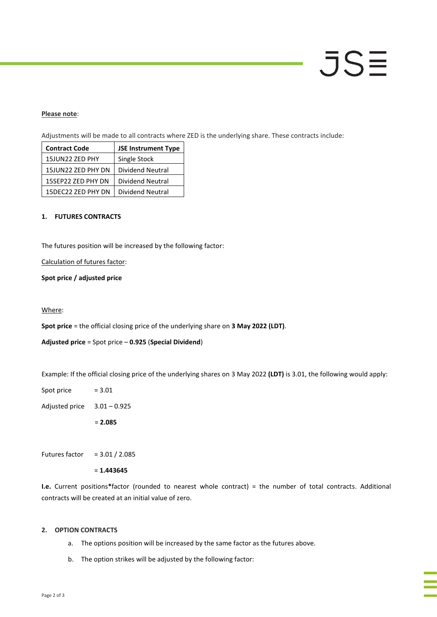# JSE

# **Please note**:

Adjustments will be made to all contracts where ZED is the underlying share. These contracts include:

| <b>Contract Code</b> | <b>JSE Instrument Type</b> |
|----------------------|----------------------------|
| 15JUN22 ZED PHY      | Single Stock               |
| 15JUN22 ZED PHY DN   | Dividend Neutral           |
| 15SEP22 ZED PHY DN   | Dividend Neutral           |
| 15DEC22 ZED PHY DN   | Dividend Neutral           |

# **1. FUTURES CONTRACTS**

The futures position will be increased by the following factor:

# Calculation of futures factor:

# **Spot price / adjusted price**

#### Where:

**Spot price** = the official closing price of the underlying share on **3 May 2022 (LDT)**.

# **Adjusted price** = Spot price – **0.925** (**Special Dividend**)

Example: If the official closing price of the underlying shares on 3 May 2022 **(LDT)** is 3.01, the following would apply:

Spot price  $= 3.01$ Adjusted price 3.01 – 0.925 = **2.085**

Futures factor  $= 3.01 / 2.085$ 

= **1.443645**

**I.e.** Current positions**\***factor (rounded to nearest whole contract) = the number of total contracts. Additional contracts will be created at an initial value of zero.

#### **2. OPTION CONTRACTS**

- a. The options position will be increased by the same factor as the futures above.
- b. The option strikes will be adjusted by the following factor: